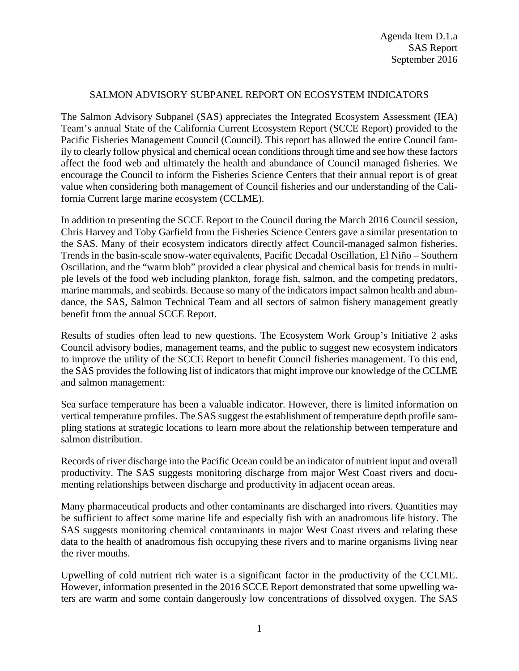## SALMON ADVISORY SUBPANEL REPORT ON ECOSYSTEM INDICATORS

The Salmon Advisory Subpanel (SAS) appreciates the Integrated Ecosystem Assessment (IEA) Team's annual State of the California Current Ecosystem Report (SCCE Report) provided to the Pacific Fisheries Management Council (Council). This report has allowed the entire Council family to clearly follow physical and chemical ocean conditions through time and see how these factors affect the food web and ultimately the health and abundance of Council managed fisheries. We encourage the Council to inform the Fisheries Science Centers that their annual report is of great value when considering both management of Council fisheries and our understanding of the California Current large marine ecosystem (CCLME).

In addition to presenting the SCCE Report to the Council during the March 2016 Council session, Chris Harvey and Toby Garfield from the Fisheries Science Centers gave a similar presentation to the SAS. Many of their ecosystem indicators directly affect Council-managed salmon fisheries. Trends in the basin-scale snow-water equivalents, Pacific Decadal Oscillation, El Niño – Southern Oscillation, and the "warm blob" provided a clear physical and chemical basis for trends in multiple levels of the food web including plankton, forage fish, salmon, and the competing predators, marine mammals, and seabirds. Because so many of the indicators impact salmon health and abundance, the SAS, Salmon Technical Team and all sectors of salmon fishery management greatly benefit from the annual SCCE Report.

Results of studies often lead to new questions. The Ecosystem Work Group's Initiative 2 asks Council advisory bodies, management teams, and the public to suggest new ecosystem indicators to improve the utility of the SCCE Report to benefit Council fisheries management. To this end, the SAS provides the following list of indicators that might improve our knowledge of the CCLME and salmon management:

Sea surface temperature has been a valuable indicator. However, there is limited information on vertical temperature profiles. The SAS suggest the establishment of temperature depth profile sampling stations at strategic locations to learn more about the relationship between temperature and salmon distribution.

Records of river discharge into the Pacific Ocean could be an indicator of nutrient input and overall productivity. The SAS suggests monitoring discharge from major West Coast rivers and documenting relationships between discharge and productivity in adjacent ocean areas.

Many pharmaceutical products and other contaminants are discharged into rivers. Quantities may be sufficient to affect some marine life and especially fish with an anadromous life history. The SAS suggests monitoring chemical contaminants in major West Coast rivers and relating these data to the health of anadromous fish occupying these rivers and to marine organisms living near the river mouths.

Upwelling of cold nutrient rich water is a significant factor in the productivity of the CCLME. However, information presented in the 2016 SCCE Report demonstrated that some upwelling waters are warm and some contain dangerously low concentrations of dissolved oxygen. The SAS